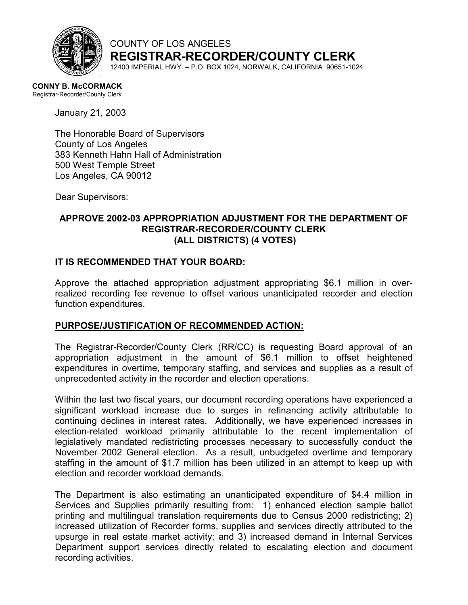

COUNTY OF LOS ANGELES **REGISTRAR-RECORDER/COUNTY CLERK**

12400 IMPERIAL HWY. – P.O. BOX 1024, NORWALK, CALIFORNIA 90651-1024

**CONNY B. McCORMACK**  Registrar-Recorder/County Clerk

January 21, 2003

The Honorable Board of Supervisors County of Los Angeles 383 Kenneth Hahn Hall of Administration 500 West Temple Street Los Angeles, CA 90012

Dear Supervisors:

## **APPROVE 2002-03 APPROPRIATION ADJUSTMENT FOR THE DEPARTMENT OF REGISTRAR-RECORDER/COUNTY CLERK (ALL DISTRICTS) (4 VOTES)**

#### **IT IS RECOMMENDED THAT YOUR BOARD:**

Approve the attached appropriation adjustment appropriating \$6.1 million in overrealized recording fee revenue to offset various unanticipated recorder and election function expenditures.

#### **PURPOSE/JUSTIFICATION OF RECOMMENDED ACTION:**

The Registrar-Recorder/County Clerk (RR/CC) is requesting Board approval of an appropriation adjustment in the amount of \$6.1 million to offset heightened expenditures in overtime, temporary staffing, and services and supplies as a result of unprecedented activity in the recorder and election operations.

Within the last two fiscal years, our document recording operations have experienced a significant workload increase due to surges in refinancing activity attributable to continuing declines in interest rates. Additionally, we have experienced increases in election-related workload primarily attributable to the recent implementation of legislatively mandated redistricting processes necessary to successfully conduct the November 2002 General election. As a result, unbudgeted overtime and temporary staffing in the amount of \$1.7 million has been utilized in an attempt to keep up with election and recorder workload demands.

The Department is also estimating an unanticipated expenditure of \$4.4 million in Services and Supplies primarily resulting from: 1) enhanced election sample ballot printing and multilingual translation requirements due to Census 2000 redistricting; 2) increased utilization of Recorder forms, supplies and services directly attributed to the upsurge in real estate market activity; and 3) increased demand in Internal Services Department support services directly related to escalating election and document recording activities.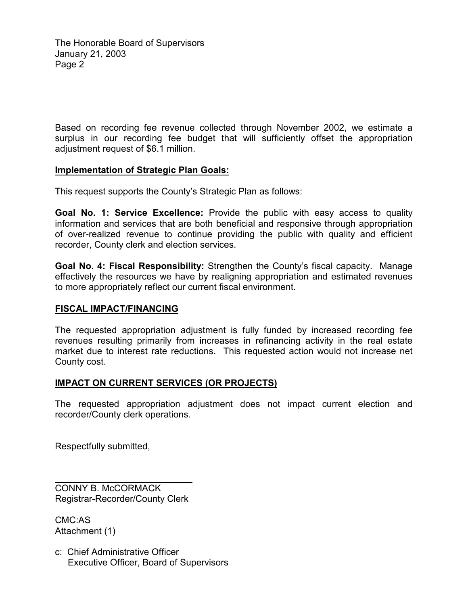Based on recording fee revenue collected through November 2002, we estimate a surplus in our recording fee budget that will sufficiently offset the appropriation adjustment request of \$6.1 million.

### **Implementation of Strategic Plan Goals:**

This request supports the County's Strategic Plan as follows:

**Goal No. 1: Service Excellence:** Provide the public with easy access to quality information and services that are both beneficial and responsive through appropriation of over-realized revenue to continue providing the public with quality and efficient recorder, County clerk and election services.

**Goal No. 4: Fiscal Responsibility:** Strengthen the County's fiscal capacity. Manage effectively the resources we have by realigning appropriation and estimated revenues to more appropriately reflect our current fiscal environment.

### **FISCAL IMPACT/FINANCING**

The requested appropriation adjustment is fully funded by increased recording fee revenues resulting primarily from increases in refinancing activity in the real estate market due to interest rate reductions. This requested action would not increase net County cost.

#### **IMPACT ON CURRENT SERVICES (OR PROJECTS)**

The requested appropriation adjustment does not impact current election and recorder/County clerk operations.

Respectfully submitted,

CONNY B. McCORMACK Registrar-Recorder/County Clerk

CMC:AS Attachment (1)

 $\overline{a}$ 

c: Chief Administrative Officer Executive Officer, Board of Supervisors